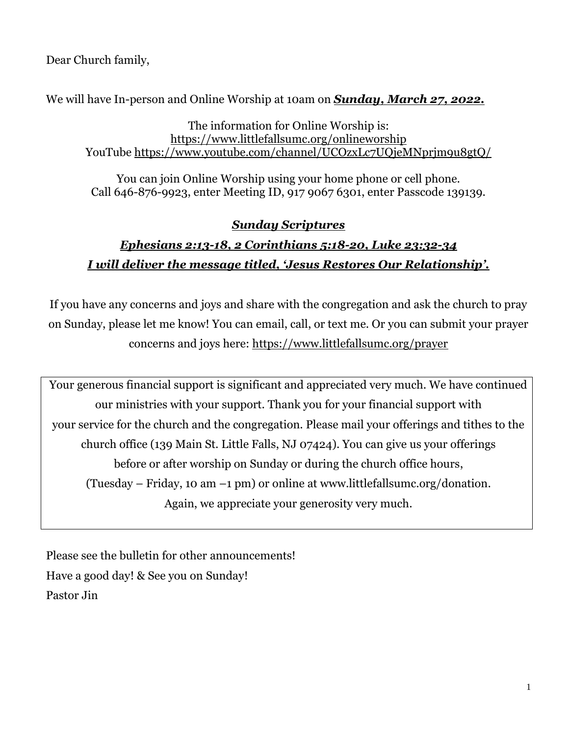Dear Church family,

We will have In-person and Online Worship at 10am on *Sunday, March 27, 2022.*

The information for Online Worship is: <https://www.littlefallsumc.org/onlineworship> YouTube<https://www.youtube.com/channel/UCOzxLc7UQjeMNprjm9u8gtQ/>

You can join Online Worship using your home phone or cell phone. Call 646-876-9923, enter Meeting ID, 917 9067 6301, enter Passcode 139139.

## *Sunday Scriptures*

# *Ephesians 2:13-18, 2 Corinthians 5:18-20, Luke 23:32-34 I will deliver the message titled, 'Jesus Restores Our Relationship'.*

If you have any concerns and joys and share with the congregation and ask the church to pray on Sunday, please let me know! You can email, call, or text me. Or you can submit your prayer concerns and joys here: <https://www.littlefallsumc.org/prayer>

Your generous financial support is significant and appreciated very much. We have continued our ministries with your support. Thank you for your financial support with your service for the church and the congregation. Please mail your offerings and tithes to the church office (139 Main St. Little Falls, NJ 07424). You can give us your offerings before or after worship on Sunday or during the church office hours, (Tuesday – Friday, 10 am –1 pm) or online at www.littlefallsumc.org/donation. Again, we appreciate your generosity very much.

Please see the bulletin for other announcements! Have a good day! & See you on Sunday! Pastor Jin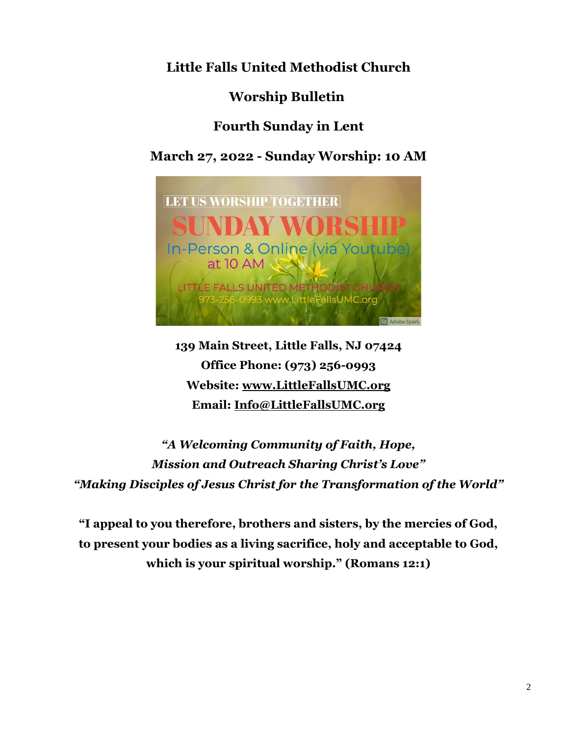**Little Falls United Methodist Church**

**Worship Bulletin**

## **Fourth Sunday in Lent**

**March 27, 2022 - Sunday Worship: 10 AM**



**139 Main Street, Little Falls, NJ 07424 Office Phone: (973) 256-0993 Website: [www.LittleFallsUMC.org](http://www.littlefallsumc.org/) Email: [Info@LittleFallsUMC.org](mailto:Info@LittleFallsUMC.org)**

*"A Welcoming Community of Faith, Hope, Mission and Outreach Sharing Christ's Love" "Making Disciples of Jesus Christ for the Transformation of the World"*

**"I appeal to you therefore, brothers and sisters, by the mercies of God, to present your bodies as a living sacrifice, holy and acceptable to God, which is your spiritual worship." (Romans 12:1)**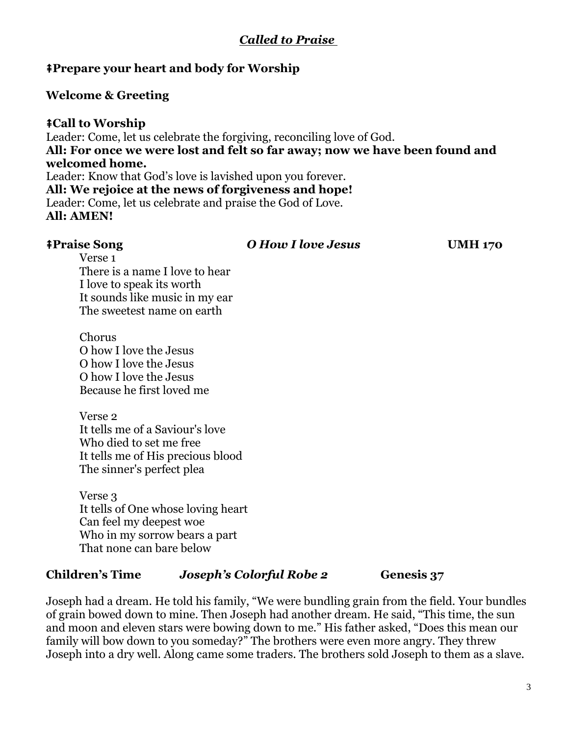## *Called to Praise*

### ⭻**Prepare your heart and body for Worship**

### **Welcome & Greeting**

#### ⭻**Call to Worship**

Leader: Come, let us celebrate the forgiving, reconciling love of God. **All: For once we were lost and felt so far away; now we have been found and welcomed home.** Leader: Know that God's love is lavished upon you forever. **All: We rejoice at the news of forgiveness and hope!** Leader: Come, let us celebrate and praise the God of Love. **All: AMEN!**

⭻**Praise Song** *O How I love Jesus* **UMH 170**

Verse 1 There is a name I love to hear I love to speak its worth It sounds like music in my ear The sweetest name on earth

Chorus O how I love the Jesus O how I love the Jesus O how I love the Jesus Because he first loved me

Verse 2 It tells me of a Saviour's love Who died to set me free It tells me of His precious blood The sinner's perfect plea

Verse 3 It tells of One whose loving heart Can feel my deepest woe Who in my sorrow bears a part That none can bare below

#### **Children's Time** *Joseph's Colorful Robe 2* **Genesis 37**

Joseph had a dream. He told his family, "We were bundling grain from the field. Your bundles of grain bowed down to mine. Then Joseph had another dream. He said, "This time, the sun and moon and eleven stars were bowing down to me." His father asked, "Does this mean our family will bow down to you someday?" The brothers were even more angry. They threw Joseph into a dry well. Along came some traders. The brothers sold Joseph to them as a slave.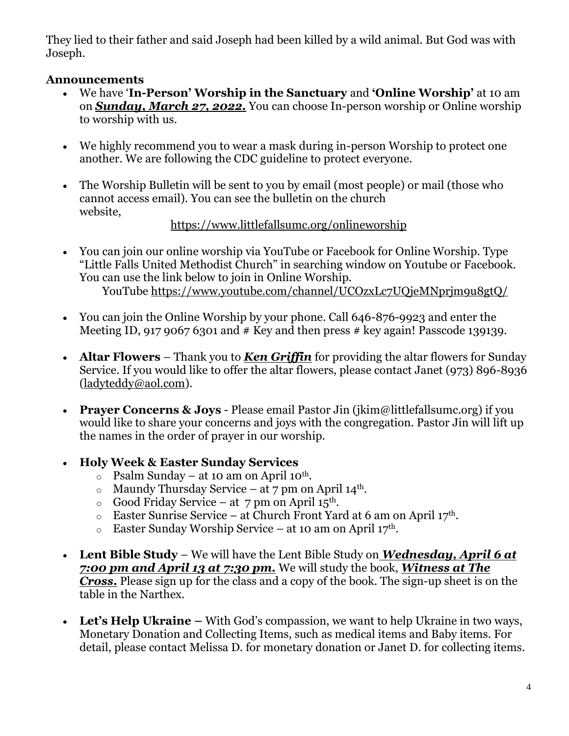They lied to their father and said Joseph had been killed by a wild animal. But God was with Joseph.

## **Announcements**

- We have '**In-Person' Worship in the Sanctuary** and **'Online Worship'** at 10 am on *Sunday, March 27, 2022.* You can choose In-person worship or Online worship to worship with us.
- We highly recommend you to wear a mask during in-person Worship to protect one another. We are following the CDC guideline to protect everyone.
- The Worship Bulletin will be sent to you by email (most people) or mail (those who cannot access email). You can see the bulletin on the church website,

## <https://www.littlefallsumc.org/onlineworship>

- You can join our online worship via YouTube or Facebook for Online Worship. Type "Little Falls United Methodist Church" in searching window on Youtube or Facebook. You can use the link below to join in Online Worship. YouTube<https://www.youtube.com/channel/UCOzxLc7UQjeMNprjm9u8gtQ/>
- You can join the Online Worship by your phone. Call 646-876-9923 and enter the Meeting ID, 917 9067 6301 and  $#$  Key and then press  $#$  key again! Passcode 139139.
- **Altar Flowers** Thank you to **Ken Griffin** for providing the altar flowers for Sunday Service. If you would like to offer the altar flowers, please contact Janet (973) 896-8936 [\(ladyteddy@aol.com\)](mailto:ladyteddy@aol.com).
- **Prayer Concerns & Joys** Please email Pastor Jin (jkim@littlefallsumc.org) if you would like to share your concerns and joys with the congregation. Pastor Jin will lift up the names in the order of prayer in our worship.

## • **Holy Week & Easter Sunday Services**

- $\circ$  Psalm Sunday at 10 am on April 10<sup>th</sup>.
- $\circ$  Maundy Thursday Service at 7 pm on April 14<sup>th</sup>.
- $\circ$  Good Friday Service at 7 pm on April 15<sup>th</sup>.
- $\circ$  Easter Sunrise Service at Church Front Yard at 6 am on April 17<sup>th</sup>.
- $\circ$  Easter Sunday Worship Service at 10 am on April 17<sup>th</sup>.
- **Lent Bible Study** We will have the Lent Bible Study on *Wednesday, April 6 at 7:00 pm and April 13 at 7:30 pm.* We will study the book, *Witness at The Cross***.** Please sign up for the class and a copy of the book. The sign-up sheet is on the table in the Narthex.
- Let's Help Ukraine With God's compassion, we want to help Ukraine in two ways, Monetary Donation and Collecting Items, such as medical items and Baby items. For detail, please contact Melissa D. for monetary donation or Janet D. for collecting items.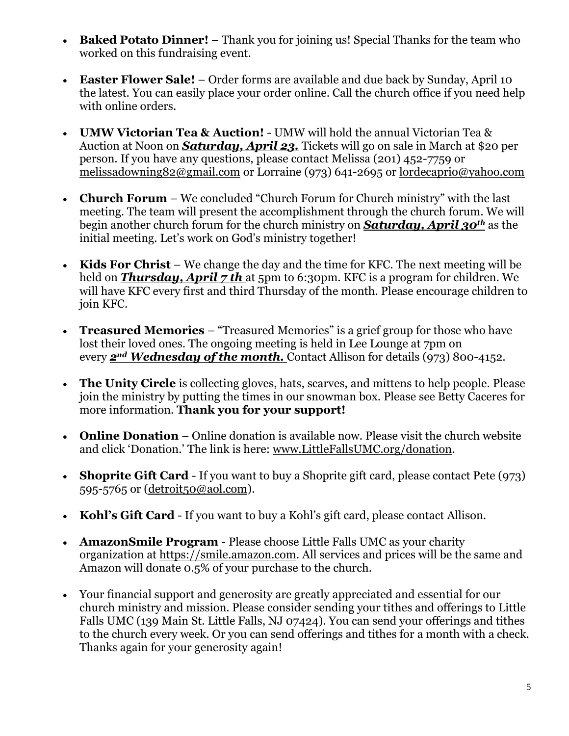- **Baked Potato Dinner!** Thank you for joining us! Special Thanks for the team who worked on this fundraising event.
- **Easter Flower Sale!** Order forms are available and due back by Sunday, April 10 the latest. You can easily place your order online. Call the church office if you need help with online orders.
- **UMW Victorian Tea & Auction!** UMW will hold the annual Victorian Tea & Auction at Noon on *Saturday, April 23.* Tickets will go on sale in March at \$20 per person. If you have any questions, please contact Melissa (201) 452-7759 or [melissadowning82@gmail.com](mailto:melissadowning82@gmail.com) or Lorraine (973) 641-2695 or [lordecaprio@yahoo.com](mailto:lordecaprio@yahoo.com)
- **Church Forum** We concluded "Church Forum for Church ministry" with the last meeting. The team will present the accomplishment through the church forum. We will begin another church forum for the church ministry on *Saturday, April 30th* as the initial meeting. Let's work on God's ministry together!
- **Kids For Christ** We change the day and the time for KFC. The next meeting will be held on **Thursday, April 7 th** at 5pm to 6:30pm. KFC is a program for children. We will have KFC every first and third Thursday of the month. Please encourage children to join KFC.
- **Treasured Memories** "Treasured Memories" is a grief group for those who have lost their loved ones. The ongoing meeting is held in Lee Lounge at 7pm on every *2nd Wednesday of the month.* Contact Allison for details (973) 800-4152.
- **The Unity Circle** is collecting gloves, hats, scarves, and mittens to help people. Please join the ministry by putting the times in our snowman box. Please see Betty Caceres for more information. **Thank you for your support!**
- **Online Donation** Online donation is available now. Please visit the church website and click 'Donation.' The link is here: [www.LittleFallsUMC.org/donation.](http://www.littlefallsumc.org/donation)
- **Shoprite Gift Card** If you want to buy a Shoprite gift card, please contact Pete (973) 595-5765 or [\(detroit50@aol.com\)](mailto:detroit50@aol.com).
- **Kohl's Gift Card** If you want to buy a Kohl's gift card, please contact Allison.
- **AmazonSmile Program**  Please choose Little Falls UMC as your charity organization at https://smile.amazon.com. All services and prices will be the same and Amazon will donate 0.5% of your purchase to the church.
- Your financial support and generosity are greatly appreciated and essential for our church ministry and mission. Please consider sending your tithes and offerings to Little Falls UMC (139 Main St. Little Falls, NJ 07424). You can send your offerings and tithes to the church every week. Or you can send offerings and tithes for a month with a check. Thanks again for your generosity again!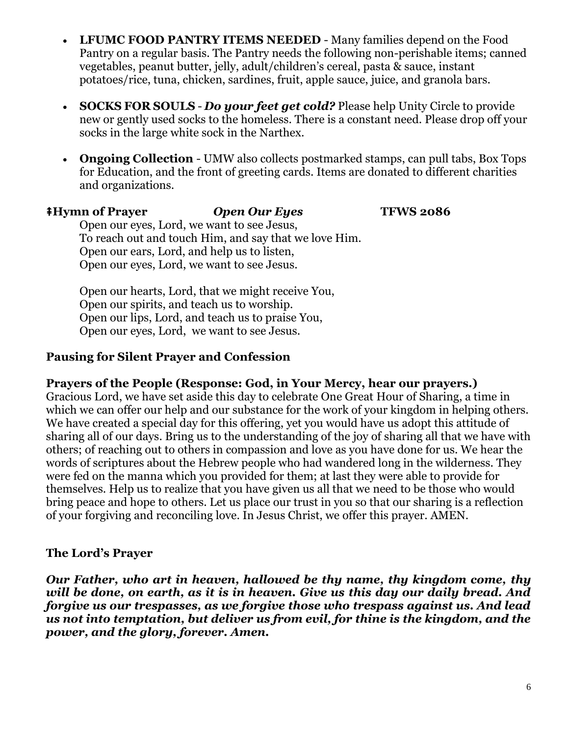- **LFUMC FOOD PANTRY ITEMS NEEDED** Many families depend on the Food Pantry on a regular basis. The Pantry needs the following non-perishable items; canned vegetables, peanut butter, jelly, adult/children's cereal, pasta & sauce, instant potatoes/rice, tuna, chicken, sardines, fruit, apple sauce, juice, and granola bars.
- **SOCKS FOR SOULS** *Do your feet get cold?* Please help Unity Circle to provide new or gently used socks to the homeless. There is a constant need. Please drop off your socks in the large white sock in the Narthex.
- **Ongoing Collection** UMW also collects postmarked stamps, can pull tabs, Box Tops for Education, and the front of greeting cards. Items are donated to different charities and organizations.

### ⭻**Hymn of Prayer** *Open Our Eyes* **TFWS 2086**

Open our eyes, Lord, we want to see Jesus, To reach out and touch Him, and say that we love Him. Open our ears, Lord, and help us to listen, Open our eyes, Lord, we want to see Jesus.

Open our hearts, Lord, that we might receive You, Open our spirits, and teach us to worship. Open our lips, Lord, and teach us to praise You, Open our eyes, Lord, we want to see Jesus.

### **Pausing for Silent Prayer and Confession**

**Prayers of the People (Response: God, in Your Mercy, hear our prayers.)**

Gracious Lord, we have set aside this day to celebrate One Great Hour of Sharing, a time in which we can offer our help and our substance for the work of your kingdom in helping others. We have created a special day for this offering, yet you would have us adopt this attitude of sharing all of our days. Bring us to the understanding of the joy of sharing all that we have with others; of reaching out to others in compassion and love as you have done for us. We hear the words of scriptures about the Hebrew people who had wandered long in the wilderness. They were fed on the manna which you provided for them; at last they were able to provide for themselves. Help us to realize that you have given us all that we need to be those who would bring peace and hope to others. Let us place our trust in you so that our sharing is a reflection of your forgiving and reconciling love. In Jesus Christ, we offer this prayer. AMEN.

## **The Lord's Prayer**

*Our Father, who art in heaven, hallowed be thy name, thy kingdom come, thy will be done, on earth, as it is in heaven. Give us this day our daily bread. And forgive us our trespasses, as we forgive those who trespass against us. And lead us not into temptation, but deliver us from evil, for thine is the kingdom, and the power, and the glory, forever. Amen.*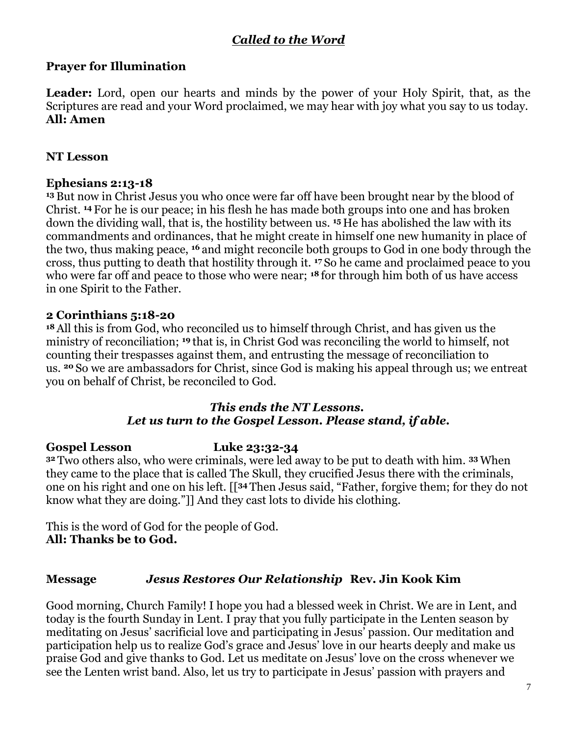## *Called to the Word*

### **Prayer for Illumination**

**Leader:** Lord, open our hearts and minds by the power of your Holy Spirit, that, as the Scriptures are read and your Word proclaimed, we may hear with joy what you say to us today. **All: Amen**

#### **NT Lesson**

#### **Ephesians 2:13-18**

**<sup>13</sup>** But now in Christ Jesus you who once were far off have been brought near by the blood of Christ. **<sup>14</sup>** For he is our peace; in his flesh he has made both groups into one and has broken down the dividing wall, that is, the hostility between us. **<sup>15</sup>** He has abolished the law with its commandments and ordinances, that he might create in himself one new humanity in place of the two, thus making peace, **<sup>16</sup>** and might reconcile both groups to God in one body through the cross, thus putting to death that hostility through it. **<sup>17</sup>** So he came and proclaimed peace to you who were far off and peace to those who were near; **<sup>18</sup>** for through him both of us have access in one Spirit to the Father.

#### **2 Corinthians 5:18-20**

**<sup>18</sup>** All this is from God, who reconciled us to himself through Christ, and has given us the ministry of reconciliation; **<sup>19</sup>** that is, in Christ God was reconciling the world to himself, not counting their trespasses against them, and entrusting the message of reconciliation to us. **<sup>20</sup>** So we are ambassadors for Christ, since God is making his appeal through us; we entreat you on behalf of Christ, be reconciled to God.

#### *This ends the NT Lessons. Let us turn to the Gospel Lesson. Please stand, if able.*

#### **Gospel Lesson Luke 23:32-34**

**<sup>32</sup>** Two others also, who were criminals, were led away to be put to death with him. **<sup>33</sup>** When they came to the place that is called The Skull, they crucified Jesus there with the criminals, one on his right and one on his left. [[**<sup>34</sup>** Then Jesus said, "Father, forgive them; for they do not know what they are doing."]] And they cast lots to divide his clothing.

This is the word of God for the people of God. **All: Thanks be to God.**

#### **Message** *Jesus Restores Our Relationship* **Rev. Jin Kook Kim**

Good morning, Church Family! I hope you had a blessed week in Christ. We are in Lent, and today is the fourth Sunday in Lent. I pray that you fully participate in the Lenten season by meditating on Jesus' sacrificial love and participating in Jesus' passion. Our meditation and participation help us to realize God's grace and Jesus' love in our hearts deeply and make us praise God and give thanks to God. Let us meditate on Jesus' love on the cross whenever we see the Lenten wrist band. Also, let us try to participate in Jesus' passion with prayers and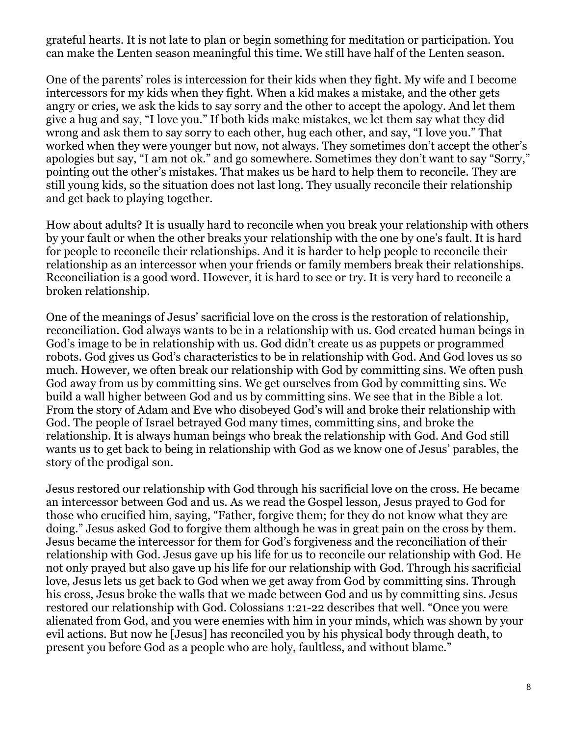grateful hearts. It is not late to plan or begin something for meditation or participation. You can make the Lenten season meaningful this time. We still have half of the Lenten season.

One of the parents' roles is intercession for their kids when they fight. My wife and I become intercessors for my kids when they fight. When a kid makes a mistake, and the other gets angry or cries, we ask the kids to say sorry and the other to accept the apology. And let them give a hug and say, "I love you." If both kids make mistakes, we let them say what they did wrong and ask them to say sorry to each other, hug each other, and say, "I love you." That worked when they were younger but now, not always. They sometimes don't accept the other's apologies but say, "I am not ok." and go somewhere. Sometimes they don't want to say "Sorry," pointing out the other's mistakes. That makes us be hard to help them to reconcile. They are still young kids, so the situation does not last long. They usually reconcile their relationship and get back to playing together.

How about adults? It is usually hard to reconcile when you break your relationship with others by your fault or when the other breaks your relationship with the one by one's fault. It is hard for people to reconcile their relationships. And it is harder to help people to reconcile their relationship as an intercessor when your friends or family members break their relationships. Reconciliation is a good word. However, it is hard to see or try. It is very hard to reconcile a broken relationship.

One of the meanings of Jesus' sacrificial love on the cross is the restoration of relationship, reconciliation. God always wants to be in a relationship with us. God created human beings in God's image to be in relationship with us. God didn't create us as puppets or programmed robots. God gives us God's characteristics to be in relationship with God. And God loves us so much. However, we often break our relationship with God by committing sins. We often push God away from us by committing sins. We get ourselves from God by committing sins. We build a wall higher between God and us by committing sins. We see that in the Bible a lot. From the story of Adam and Eve who disobeyed God's will and broke their relationship with God. The people of Israel betrayed God many times, committing sins, and broke the relationship. It is always human beings who break the relationship with God. And God still wants us to get back to being in relationship with God as we know one of Jesus' parables, the story of the prodigal son.

Jesus restored our relationship with God through his sacrificial love on the cross. He became an intercessor between God and us. As we read the Gospel lesson, Jesus prayed to God for those who crucified him, saying, "Father, forgive them; for they do not know what they are doing." Jesus asked God to forgive them although he was in great pain on the cross by them. Jesus became the intercessor for them for God's forgiveness and the reconciliation of their relationship with God. Jesus gave up his life for us to reconcile our relationship with God. He not only prayed but also gave up his life for our relationship with God. Through his sacrificial love, Jesus lets us get back to God when we get away from God by committing sins. Through his cross, Jesus broke the walls that we made between God and us by committing sins. Jesus restored our relationship with God. Colossians 1:21-22 describes that well. "Once you were alienated from God, and you were enemies with him in your minds, which was shown by your evil actions. But now he [Jesus] has reconciled you by his physical body through death, to present you before God as a people who are holy, faultless, and without blame."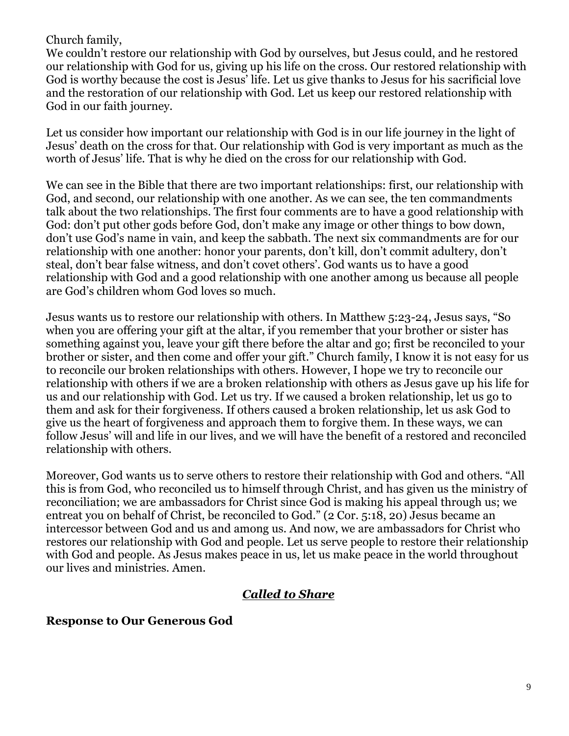### Church family,

We couldn't restore our relationship with God by ourselves, but Jesus could, and he restored our relationship with God for us, giving up his life on the cross. Our restored relationship with God is worthy because the cost is Jesus' life. Let us give thanks to Jesus for his sacrificial love and the restoration of our relationship with God. Let us keep our restored relationship with God in our faith journey.

Let us consider how important our relationship with God is in our life journey in the light of Jesus' death on the cross for that. Our relationship with God is very important as much as the worth of Jesus' life. That is why he died on the cross for our relationship with God.

We can see in the Bible that there are two important relationships: first, our relationship with God, and second, our relationship with one another. As we can see, the ten commandments talk about the two relationships. The first four comments are to have a good relationship with God: don't put other gods before God, don't make any image or other things to bow down, don't use God's name in vain, and keep the sabbath. The next six commandments are for our relationship with one another: honor your parents, don't kill, don't commit adultery, don't steal, don't bear false witness, and don't covet others'. God wants us to have a good relationship with God and a good relationship with one another among us because all people are God's children whom God loves so much.

Jesus wants us to restore our relationship with others. In Matthew 5:23-24, Jesus says, "So when you are offering your gift at the altar, if you remember that your brother or sister has something against you, leave your gift there before the altar and go; first be reconciled to your brother or sister, and then come and offer your gift." Church family, I know it is not easy for us to reconcile our broken relationships with others. However, I hope we try to reconcile our relationship with others if we are a broken relationship with others as Jesus gave up his life for us and our relationship with God. Let us try. If we caused a broken relationship, let us go to them and ask for their forgiveness. If others caused a broken relationship, let us ask God to give us the heart of forgiveness and approach them to forgive them. In these ways, we can follow Jesus' will and life in our lives, and we will have the benefit of a restored and reconciled relationship with others.

Moreover, God wants us to serve others to restore their relationship with God and others. "All this is from God, who reconciled us to himself through Christ, and has given us the ministry of reconciliation; we are ambassadors for Christ since God is making his appeal through us; we entreat you on behalf of Christ, be reconciled to God." (2 Cor. 5:18, 20) Jesus became an intercessor between God and us and among us. And now, we are ambassadors for Christ who restores our relationship with God and people. Let us serve people to restore their relationship with God and people. As Jesus makes peace in us, let us make peace in the world throughout our lives and ministries. Amen.

## *Called to Share*

## **Response to Our Generous God**